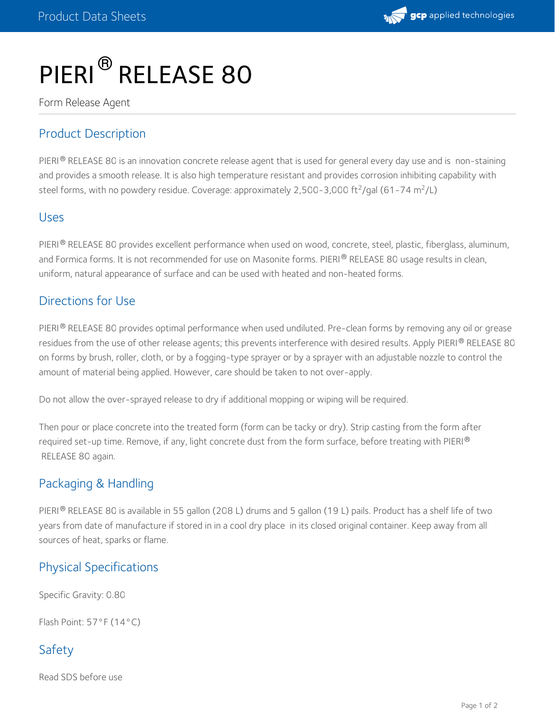

# PIERI<sup>®</sup> RELEASE 80

Form Release Agent

# Product Description

PIERI  $^\circ$  RELEASE 80 is an innovation concrete release agent that is used for general every day use and is non-staining and provides a smooth release. It is also high temperature resistant and provides corrosion inhibiting capability with steel forms, with no powdery residue. Coverage: approximately 2,500-3,000 ft<sup>2</sup>/gal (61-74 m<sup>2</sup>/L)

#### Uses

PIERI® RELEASE 80 provides excellent performance when used on wood, concrete, steel, plastic, fiberglass, aluminum, and Formica forms. It is not recommended for use on Masonite forms. PIERI® RELEASE 80 usage results in clean, uniform, natural appearance of surface and can be used with heated and non-heated forms.

#### Directions for Use

PIERI® RELEASE 80 provides optimal performance when used undiluted. Pre-clean forms by removing any oil or grease residues from the use of other release agents; this prevents interference with desired results. Apply PIERI® RELEASE 80 on forms by brush, roller, cloth, or by a fogging-type sprayer or by a sprayer with an adjustable nozzle to control the amount of material being applied. However, care should be taken to not over-apply.

Do not allow the over-sprayed release to dry if additional mopping or wiping will be required.

Then pour or place concrete into the treated form (form can be tacky or dry). Strip casting from the form after required set-up time. Remove, if any, light concrete dust from the form surface, before treating with PIERI  $^\circledR$ RELEASE 80 again.

## Packaging & Handling

PIERI $^\circledR$  RELEASE 80 is available in 55 gallon (208 L) drums and 5 gallon (19 L) pails. Product has a shelf life of two years from date of manufacture if stored in in a cool dry place in its closed original container. Keep away from all sources of heat, sparks or flame.

## Physical Specifications

Specific Gravity: 0.80

Flash Point: 57°F (14°C)

# Safety

Read SDS before use